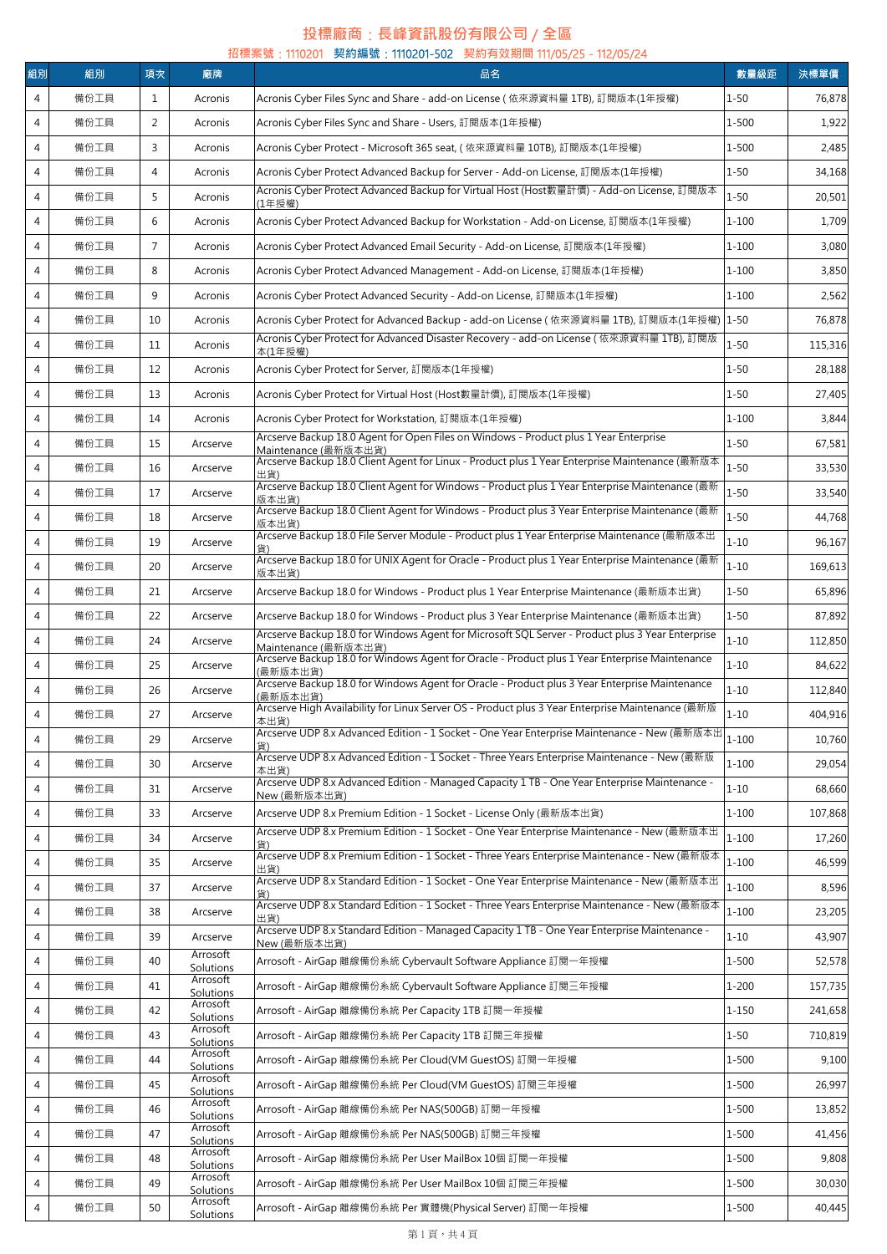## **投標廠商**:**長峰資訊股份有限公司** / **全區**

| 組別<br>組別<br>廠牌<br>項次<br>4<br>備份工具<br>1<br>Acronis<br>$\overline{4}$<br>備份工具<br>$\overline{2}$<br>Acronis Cyber Files Sync and Share - Users, 訂閱版本(1年授權)<br>Acronis | 品名<br>Acronis Cyber Files Sync and Share - add-on License ( 依來源資料量 1TB), 訂閱版本(1年授權)                                                                                                        | 數量級距<br>$1 - 50$ | 決標單價    |
|--------------------------------------------------------------------------------------------------------------------------------------------------------------------|--------------------------------------------------------------------------------------------------------------------------------------------------------------------------------------------|------------------|---------|
|                                                                                                                                                                    |                                                                                                                                                                                            |                  |         |
|                                                                                                                                                                    |                                                                                                                                                                                            |                  | 76,878  |
|                                                                                                                                                                    |                                                                                                                                                                                            | 1-500            | 1,922   |
| $\overline{4}$<br>備份工具<br>3<br>Acronis                                                                                                                             | Acronis Cyber Protect - Microsoft 365 seat, ( 依來源資料量 10TB), 訂閱版本(1年授權)                                                                                                                     | $1 - 500$        | 2,485   |
| 備份工具<br>$\overline{4}$<br>4<br>Acronis                                                                                                                             | Acronis Cyber Protect Advanced Backup for Server - Add-on License, 訂閱版本(1年授權)                                                                                                              | $1 - 50$         | 34,168  |
| $\overline{4}$<br>備份工具<br>5<br>Acronis<br>(1年授權)                                                                                                                   | Acronis Cyber Protect Advanced Backup for Virtual Host (Host數量計價) - Add-on License, 訂閱版本                                                                                                   | $1 - 50$         | 20,501  |
| $\overline{4}$<br>備份工具<br>6<br>Acronis                                                                                                                             | Acronis Cyber Protect Advanced Backup for Workstation - Add-on License, 訂閱版本(1年授權)                                                                                                         | $1 - 100$        | 1,709   |
| $\overline{7}$<br>$\overline{4}$<br>備份工具<br>Acronis                                                                                                                | Acronis Cyber Protect Advanced Email Security - Add-on License, 訂閱版本(1年授權)                                                                                                                 | $1 - 100$        | 3,080   |
| $\overline{4}$<br>備份工具<br>8<br>Acronis                                                                                                                             | Acronis Cyber Protect Advanced Management - Add-on License, 訂閱版本(1年授權)                                                                                                                     | $1 - 100$        | 3,850   |
| $\overline{4}$<br>備份工具<br>9<br>Acronis                                                                                                                             | Acronis Cyber Protect Advanced Security - Add-on License, 訂閱版本(1年授權)                                                                                                                       | $1 - 100$        | 2,562   |
| $\overline{4}$<br>備份工具<br>10<br>Acronis                                                                                                                            | Acronis Cyber Protect for Advanced Backup - add-on License (依來源資料量 1TB), 訂閱版本(1年授權) 1-50                                                                                                   |                  | 76,878  |
| 備份工具<br>4<br>11<br>Acronis<br>本(1年授權)                                                                                                                              | Acronis Cyber Protect for Advanced Disaster Recovery - add-on License ( 依來源資料量 1TB), 訂閱版                                                                                                   | $1 - 50$         | 115,316 |
| $\overline{4}$<br>備份工具<br>Acronis Cyber Protect for Server, 訂閱版本(1年授權)<br>12<br>Acronis                                                                            |                                                                                                                                                                                            | $1 - 50$         | 28,188  |
| $\overline{4}$<br>備份工具<br>Acronis Cyber Protect for Virtual Host (Host數量計價), 訂閱版本(1年授權)<br>13<br>Acronis                                                           |                                                                                                                                                                                            | $1 - 50$         | 27,405  |
| $\overline{4}$<br>備份工具<br>14<br>Acronis<br>Acronis Cyber Protect for Workstation, 訂閱版本(1年授權)                                                                       |                                                                                                                                                                                            | $1 - 100$        | 3,844   |
| 備份工具<br>15<br>$\overline{4}$<br>Arcserve                                                                                                                           | Arcserve Backup 18.0 Agent for Open Files on Windows - Product plus 1 Year Enterprise                                                                                                      | $1 - 50$         | 67,581  |
| Maintenance (最新版本出貨)<br>備份工具<br>$\overline{4}$<br>16<br>Arcserve                                                                                                   | Arcserve Backup 18.0 Client Agent for Linux - Product plus 1 Year Enterprise Maintenance (最新版本                                                                                             | $1 - 50$         | 33,530  |
| 出貨)<br>備份工具<br>$\overline{4}$<br>17<br>Arcserve                                                                                                                    | Arcserve Backup 18.0 Client Agent for Windows - Product plus 1 Year Enterprise Maintenance (最新                                                                                             | $1 - 50$         | 33,540  |
| 版本出貨)<br>$\overline{4}$<br>備份工具<br>18<br>Arcserve                                                                                                                  | Arcserve Backup 18.0 Client Agent for Windows - Product plus 3 Year Enterprise Maintenance (最新                                                                                             | $1 - 50$         | 44,768  |
| 版本出貨)<br>備份工具<br>$\overline{4}$<br>19<br>Arcserve                                                                                                                  | Arcserve Backup 18.0 File Server Module - Product plus 1 Year Enterprise Maintenance (最新版本出                                                                                                | $1 - 10$         | 96,167  |
| $\overline{4}$<br>備份工具<br>20<br>Arcserve                                                                                                                           | Arcserve Backup 18.0 for UNIX Agent for Oracle - Product plus 1 Year Enterprise Maintenance (最新                                                                                            | $1 - 10$         | 169,613 |
| 版本出貨)<br>備份工具<br>$\overline{4}$<br>21<br>Arcserve                                                                                                                  | Arcserve Backup 18.0 for Windows - Product plus 1 Year Enterprise Maintenance (最新版本出貨)                                                                                                     | $1 - 50$         | 65,896  |
| $\overline{4}$<br>備份工具<br>22<br>Arcserve                                                                                                                           |                                                                                                                                                                                            | $1 - 50$         | 87,892  |
|                                                                                                                                                                    | Arcserve Backup 18.0 for Windows - Product plus 3 Year Enterprise Maintenance (最新版本出貨)<br>Arcserve Backup 18.0 for Windows Agent for Microsoft SQL Server - Product plus 3 Year Enterprise | $1 - 10$         |         |
| 備份工具<br>$\overline{4}$<br>24<br>Arcserve<br>Maintenance (最新版本出貨)                                                                                                   | Arcserve Backup 18.0 for Windows Agent for Oracle - Product plus 1 Year Enterprise Maintenance                                                                                             |                  | 112,850 |
| 備份工具<br>$\overline{4}$<br>25<br>Arcserve<br>(最新版本出貨)                                                                                                               | Arcserve Backup 18.0 for Windows Agent for Oracle - Product plus 3 Year Enterprise Maintenance                                                                                             | $1 - 10$         | 84,622  |
| 備份工具<br>$\overline{4}$<br>26<br>Arcserve<br>(最新版本出貨)                                                                                                               | Arcserve High Availability for Linux Server OS - Product plus 3 Year Enterprise Maintenance (最新版                                                                                           | $1 - 10$         | 112,840 |
| 備份工具<br>4<br>27<br>Arcserve<br>本出貨)                                                                                                                                | Arcserve UDP 8.x Advanced Edition - 1 Socket - One Year Enterprise Maintenance - New (最新版本出                                                                                                | 1-10             | 404,916 |
| $\overline{4}$<br>備份工具<br>29<br>Arcserve                                                                                                                           | Arcserve UDP 8.x Advanced Edition - 1 Socket - Three Years Enterprise Maintenance - New (最新版                                                                                               | $1 - 100$        | 10,760  |
| 4<br>備份工具<br>30<br>Arcserve<br>本出貨)                                                                                                                                | Arcserve UDP 8.x Advanced Edition - Managed Capacity 1 TB - One Year Enterprise Maintenance -                                                                                              | $1 - 100$        | 29,054  |
| 4<br>備份工具<br>31<br>Arcserve<br>New (最新版本出貨)                                                                                                                        |                                                                                                                                                                                            | $1 - 10$         | 68,660  |
| 4<br>備份工具<br>Arcserve UDP 8.x Premium Edition - 1 Socket - License Only (最新版本出貨)<br>33<br>Arcserve                                                                 |                                                                                                                                                                                            | $1 - 100$        | 107,868 |
| $\overline{4}$<br>備份工具<br>34<br>Arcserve<br>貨)                                                                                                                     | Arcserve UDP 8.x Premium Edition - 1 Socket - One Year Enterprise Maintenance - New (最新版本出                                                                                                 | $1 - 100$        | 17,260  |
| 備份工具<br>4<br>35<br>Arcserve<br>出貨)                                                                                                                                 | Arcserve UDP 8.x Premium Edition - 1 Socket - Three Years Enterprise Maintenance - New (最新版本                                                                                               | $1 - 100$        | 46,599  |
| $\overline{4}$<br>備份工具<br>37<br>Arcserve<br>貨)                                                                                                                     | Arcserve UDP 8.x Standard Edition - 1 Socket - One Year Enterprise Maintenance - New (最新版本出                                                                                                | $1 - 100$        | 8,596   |
| 備份工具<br>4<br>38<br>Arcserve<br>出貨)                                                                                                                                 | Arcserve UDP 8.x Standard Edition - 1 Socket - Three Years Enterprise Maintenance - New (最新版本                                                                                              | $1 - 100$        | 23,205  |
| 39<br>4<br>備份工具<br>Arcserve<br>New (最新版本出貨)                                                                                                                        | Arcserve UDP 8.x Standard Edition - Managed Capacity 1 TB - One Year Enterprise Maintenance -                                                                                              | $1 - 10$         | 43,907  |
| Arrosoft<br>備份工具<br>Arrosoft - AirGap 離線備份系統 Cybervault Software Appliance 訂閱一年授權<br>4<br>40<br>Solutions                                                          |                                                                                                                                                                                            | 1-500            | 52,578  |
| Arrosoft<br>$\overline{4}$<br>備份工具<br>Arrosoft - AirGap 離線備份系統 Cybervault Software Appliance 訂閱三年授權<br>41<br>Solutions                                             |                                                                                                                                                                                            | $1 - 200$        | 157,735 |
| Arrosoft<br>4<br>備份工具<br>42<br>Arrosoft - AirGap 離線備份系統 Per Capacity 1TB 訂閱一年授權<br>Solutions                                                                       |                                                                                                                                                                                            | $1 - 150$        | 241,658 |
| Arrosoft<br>$\overline{4}$<br>備份工具<br>43<br>Arrosoft - AirGap 離線備份系統 Per Capacity 1TB 訂閱三年授權<br>Solutions                                                          |                                                                                                                                                                                            | $1 - 50$         | 710,819 |
| Arrosoft<br>備份工具<br>44<br>Arrosoft - AirGap 離線備份系統 Per Cloud(VM GuestOS) 訂閱一年授權<br>4<br>Solutions                                                                  |                                                                                                                                                                                            | 1-500            | 9,100   |
| Arrosoft<br>$\overline{4}$<br>備份工具<br>45<br>Arrosoft - AirGap 離線備份系統 Per Cloud(VM GuestOS) 訂閱三年授權<br>Solutions                                                     |                                                                                                                                                                                            | 1-500            | 26,997  |
| Arrosoft<br>$\overline{4}$<br>備份工具<br>46<br>Arrosoft - AirGap 離線備份系統 Per NAS(500GB) 訂閱一年授權<br>Solutions                                                            |                                                                                                                                                                                            | 1-500            | 13,852  |
| Arrosoft<br>備份工具<br>47<br>Arrosoft - AirGap 離線備份系統 Per NAS(500GB) 訂閱三年授權<br>$\overline{4}$<br>Solutions                                                            |                                                                                                                                                                                            | 1-500            | 41,456  |
| Arrosoft<br>Arrosoft - AirGap 離線備份系統 Per User MailBox 10個 訂閱一年授權<br>4<br>備份工具<br>48<br>Solutions                                                                   |                                                                                                                                                                                            | $1 - 500$        | 9,808   |
| Arrosoft<br>備份工具<br>Arrosoft - AirGap 離線備份系統 Per User MailBox 10個 訂閱三年授權<br>4<br>49<br>Solutions                                                                   |                                                                                                                                                                                            | $1 - 500$        | 30,030  |
| Arrosoft<br>備份工具<br>50<br>Arrosoft - AirGap 離線備份系統 Per 實體機(Physical Server) 訂閱一年授權<br>4<br>Solutions                                                               |                                                                                                                                                                                            | 1-500            | 40,445  |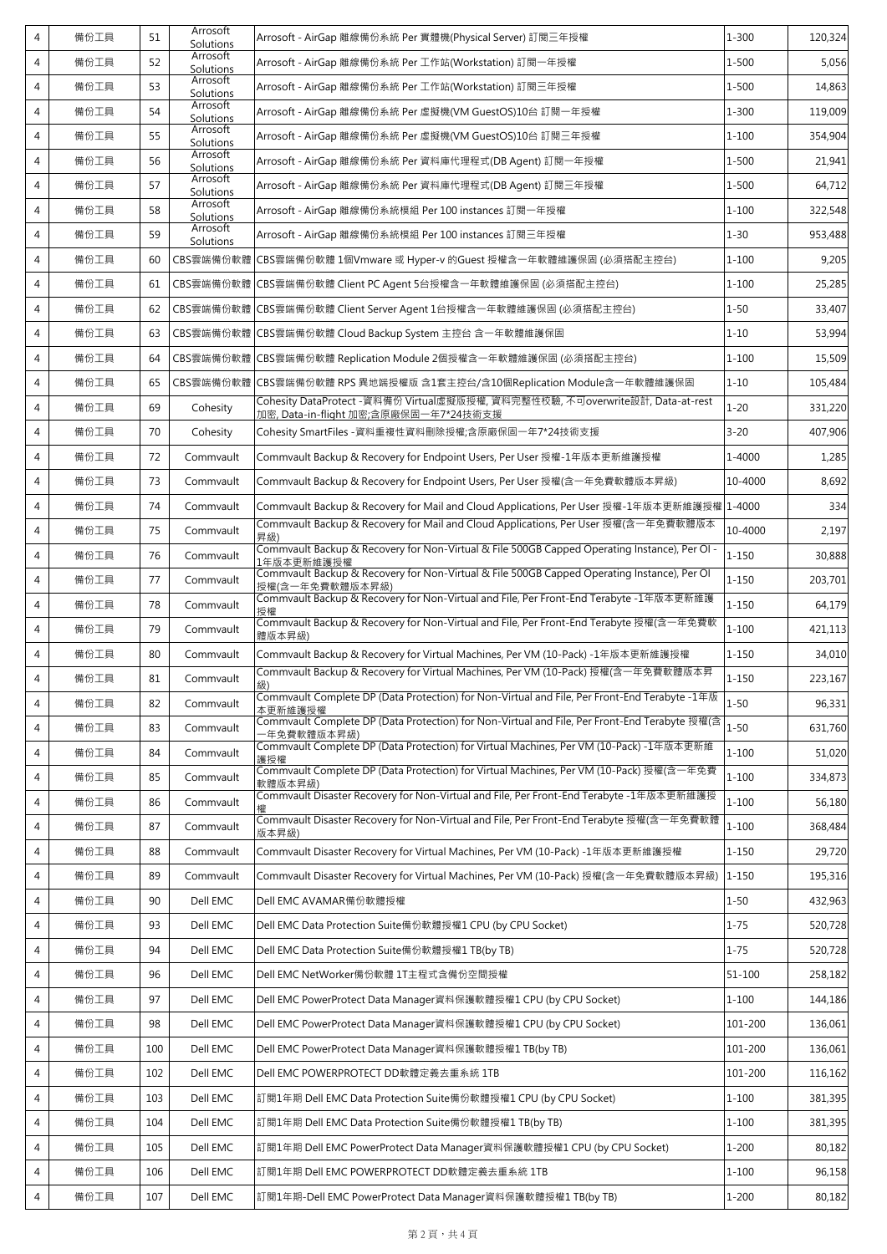| $\overline{4}$ | 備份工具 | 51  | Arrosoft<br>Solutions | Arrosoft - AirGap 離線備份系統 Per 實體機(Physical Server) 訂閱三年授權                                                               | $1 - 300$ | 120,324 |
|----------------|------|-----|-----------------------|------------------------------------------------------------------------------------------------------------------------|-----------|---------|
| $\overline{4}$ | 備份工具 | 52  | Arrosoft<br>Solutions | Arrosoft - AirGap 離線備份系統 Per 工作站(Workstation) 訂閱一年授權                                                                   | $1 - 500$ | 5,056   |
| 4              | 備份工具 | 53  | Arrosoft<br>Solutions | Arrosoft - AirGap 離線備份系統 Per 工作站(Workstation) 訂閱三年授權                                                                   | $1 - 500$ | 14,863  |
| 4              | 備份工具 | 54  | Arrosoft<br>Solutions | Arrosoft - AirGap 離線備份系統 Per 虛擬機(VM GuestOS)10台 訂閱一年授權                                                                 | $1 - 300$ | 119,009 |
| 4              | 備份工具 | 55  | Arrosoft<br>Solutions | Arrosoft - AirGap 離線備份系統 Per 虛擬機(VM GuestOS)10台 訂閱三年授權                                                                 | $1 - 100$ | 354,904 |
| $\overline{4}$ | 備份工具 | 56  | Arrosoft<br>Solutions | Arrosoft - AirGap 離線備份系統 Per 資料庫代理程式(DB Agent) 訂閱一年授權                                                                  | 1-500     | 21,941  |
| 4              | 備份工具 | 57  | Arrosoft<br>Solutions | Arrosoft - AirGap 離線備份系統 Per 資料庫代理程式(DB Agent) 訂閱三年授權                                                                  | $1 - 500$ | 64,712  |
| 4              | 備份工具 | 58  | Arrosoft<br>Solutions | Arrosoft - AirGap 離線備份系統模組 Per 100 instances 訂閱一年授權                                                                    | $1 - 100$ | 322,548 |
| 4              | 備份工具 | 59  | Arrosoft<br>Solutions | Arrosoft - AirGap 離線備份系統模組 Per 100 instances 訂閱三年授權                                                                    | $1 - 30$  | 953,488 |
| 4              | 備份工具 | 60  | CBS雲端備份軟體             | CBS雲端備份軟體 1個Vmware 或 Hyper-v 的Guest 授權含一年軟體維護保固 (必須搭配主控台)                                                              | $1 - 100$ | 9,205   |
| 4              | 備份工具 | 61  | CBS雲端備份軟體             | CBS雲端備份軟體 Client PC Agent 5台授權含一年軟體維護保固 (必須搭配主控台)                                                                      | $1 - 100$ | 25,285  |
| 4              | 備份工具 | 62  | CBS雲端備份軟體             | CBS雲端備份軟體 Client Server Agent 1台授權含一年軟體維護保固 (必須搭配主控台)                                                                  | $1 - 50$  | 33,407  |
| 4              | 備份工具 | 63  | CBS雲端備份軟體             | CBS雲端備份軟體 Cloud Backup System 主控台 含一年軟體維護保固                                                                            | $1 - 10$  | 53,994  |
| 4              | 備份工具 | 64  | CBS雲端備份軟體             | CBS雲端備份軟體 Replication Module 2個授權含一年軟體維護保固 (必須搭配主控台)                                                                   | $1 - 100$ | 15,509  |
| 4              | 備份工具 | 65  | CBS雲端備份軟體             | CBS雲端備份軟體 RPS 異地端授權版 含1套主控台/含10個Replication Module含一年軟體維護保固                                                            | $1 - 10$  | 105,484 |
| 4              | 備份工具 | 69  | Cohesity              | Cohesity DataProtect -資料備份 Virtual虛擬版授權, 資料完整性校驗, 不可overwrite設計, Data-at-rest<br>加密, Data-in-flight 加密;含原廠保固一年7*24技術支援 | $1 - 20$  | 331,220 |
| 4              | 備份工具 | 70  | Cohesity              | Cohesity SmartFiles - 資料重複性資料刪除授權;含原廠保固一年7*24技術支援                                                                      | $3 - 20$  | 407,906 |
| 4              | 備份工具 | 72  | Commvault             | Commvault Backup & Recovery for Endpoint Users, Per User 授權-1年版本更新維護授權                                                 | 1-4000    | 1,285   |
| 4              | 備份工具 | 73  | Commvault             | Commvault Backup & Recovery for Endpoint Users, Per User 授權(含一年免費軟體版本昇級)                                               | 10-4000   | 8,692   |
| 4              | 備份工具 | 74  | Commvault             | Commvault Backup & Recovery for Mail and Cloud Applications, Per User 授權-1年版本更新維護授權   1-4000                           |           | 334     |
| 4              | 備份工具 | 75  | Commvault             | Commvault Backup & Recovery for Mail and Cloud Applications, Per User 授權(含一年免費軟體版本<br>昇級)                              | 10-4000   | 2,197   |
| 4              | 備份工具 | 76  | Commvault             | Commvault Backup & Recovery for Non-Virtual & File 500GB Capped Operating Instance), Per OI -<br>1年版本更新維護授權            | $1 - 150$ | 30,888  |
| 4              | 備份工具 | 77  | Commvault             | Commvault Backup & Recovery for Non-Virtual & File 500GB Capped Operating Instance), Per OI<br>授權(含一年免費軟體版本昇級)         | $1 - 150$ | 203,701 |
| 4              | 備份工具 | 78  | Commvault             | Commvault Backup & Recovery for Non-Virtual and File, Per Front-End Terabyte -1年版本更新維護                                 | $1 - 150$ | 64,179  |
| 4              | 備份工具 | 79  | Commvault             | Commvault Backup & Recovery for Non-Virtual and File, Per Front-End Terabyte 授權(含一年免費軟<br>體版本昇級)                       | $1 - 100$ | 421,113 |
| 4              | 備份工具 | 80  | Commvault             | Commvault Backup & Recovery for Virtual Machines, Per VM (10-Pack) -1年版本更新維護授權                                         | $1 - 150$ | 34,010  |
| $\overline{4}$ | 備份工具 | 81  | Commvault             | Commvault Backup & Recovery for Virtual Machines, Per VM (10-Pack) 授權(含一年免費軟體版本昇<br>級)                                 | $1 - 150$ | 223,167 |
| 4              | 備份工具 | 82  | Commvault             | Commvault Complete DP (Data Protection) for Non-Virtual and File, Per Front-End Terabyte -1年版<br>本更新維護授權               | $1 - 50$  | 96,331  |
| 4              | 備份工具 | 83  | Commvault             | Commvault Complete DP (Data Protection) for Non-Virtual and File, Per Front-End Terabyte 授權(含<br>年免費軟體版本昇級)            | $1 - 50$  | 631,760 |
| 4              | 備份工具 | 84  | Commvault             | Commvault Complete DP (Data Protection) for Virtual Machines, Per VM (10-Pack) -1年版本更新維<br>護授權                         | $1 - 100$ | 51,020  |
| 4              | 備份工具 | 85  | Commvault             | Commvault Complete DP (Data Protection) for Virtual Machines, Per VM (10-Pack) 授權(含一年免費<br>軟體版本昇級)                     | $1 - 100$ | 334,873 |
| 4              | 備份工具 | 86  | Commvault             | Commvault Disaster Recovery for Non-Virtual and File, Per Front-End Terabyte -1年版本更新維護授                                | $1 - 100$ | 56,180  |
| 4              | 備份工具 | 87  | Commvault             | Commvault Disaster Recovery for Non-Virtual and File, Per Front-End Terabyte 授權(含一年免費軟體<br>版本昇級)                       | $1 - 100$ | 368,484 |
| 4              | 備份工具 | 88  | Commvault             | Commvault Disaster Recovery for Virtual Machines, Per VM (10-Pack) -1年版本更新維護授權                                         | $1 - 150$ | 29,720  |
| 4              | 備份工具 | 89  | Commvault             | Commvault Disaster Recovery for Virtual Machines, Per VM (10-Pack) 授權(含一年免費軟體版本昇級)                                     | $1 - 150$ | 195,316 |
| 4              | 備份工具 | 90  | Dell EMC              | Dell EMC AVAMAR備份軟體授權                                                                                                  | $1 - 50$  | 432,963 |
| 4              | 備份工具 | 93  | Dell EMC              | Dell EMC Data Protection Suite備份軟體授權1 CPU (by CPU Socket)                                                              | $1 - 75$  | 520,728 |
| 4              | 備份工具 | 94  | Dell EMC              | Dell EMC Data Protection Suite備份軟體授權1 TB(by TB)                                                                        | $1 - 75$  | 520,728 |
| 4              | 備份工具 | 96  | Dell EMC              | Dell EMC NetWorker備份軟體 1T主程式含備份空間授權                                                                                    | 51-100    | 258,182 |
| 4              | 備份工具 | 97  | Dell EMC              | Dell EMC PowerProtect Data Manager資料保護軟體授權1 CPU (by CPU Socket)                                                        | 1-100     | 144,186 |
| 4              | 備份工具 | 98  | Dell EMC              | Dell EMC PowerProtect Data Manager資料保護軟體授權1 CPU (by CPU Socket)                                                        | 101-200   | 136,061 |
| 4              | 備份工具 | 100 | Dell EMC              | Dell EMC PowerProtect Data Manager資料保護軟體授權1 TB(by TB)                                                                  | 101-200   | 136,061 |
| 4              | 備份工具 | 102 | Dell EMC              | Dell EMC POWERPROTECT DD軟體定義去重系統 1TB                                                                                   | 101-200   | 116,162 |
| 4              | 備份工具 | 103 | Dell EMC              | 訂閱1年期 Dell EMC Data Protection Suite備份軟體授權1 CPU (by CPU Socket)                                                        | $1 - 100$ | 381,395 |
| 4              | 備份工具 | 104 | Dell EMC              | 訂閱1年期 Dell EMC Data Protection Suite備份軟體授權1 TB(by TB)                                                                  | $1 - 100$ | 381,395 |
| 4              | 備份工具 | 105 | Dell EMC              | 訂閱1年期 Dell EMC PowerProtect Data Manager資料保護軟體授權1 CPU (by CPU Socket)                                                  | $1 - 200$ | 80,182  |
| 4              | 備份工具 | 106 | Dell EMC              | 訂閱1年期 Dell EMC POWERPROTECT DD軟體定義去重系統 1TB                                                                             | $1 - 100$ | 96,158  |
| 4              | 備份工具 | 107 | Dell EMC              | 訂閱1年期-Dell EMC PowerProtect Data Manager資料保護軟體授權1 TB(by TB)                                                            | $1 - 200$ | 80,182  |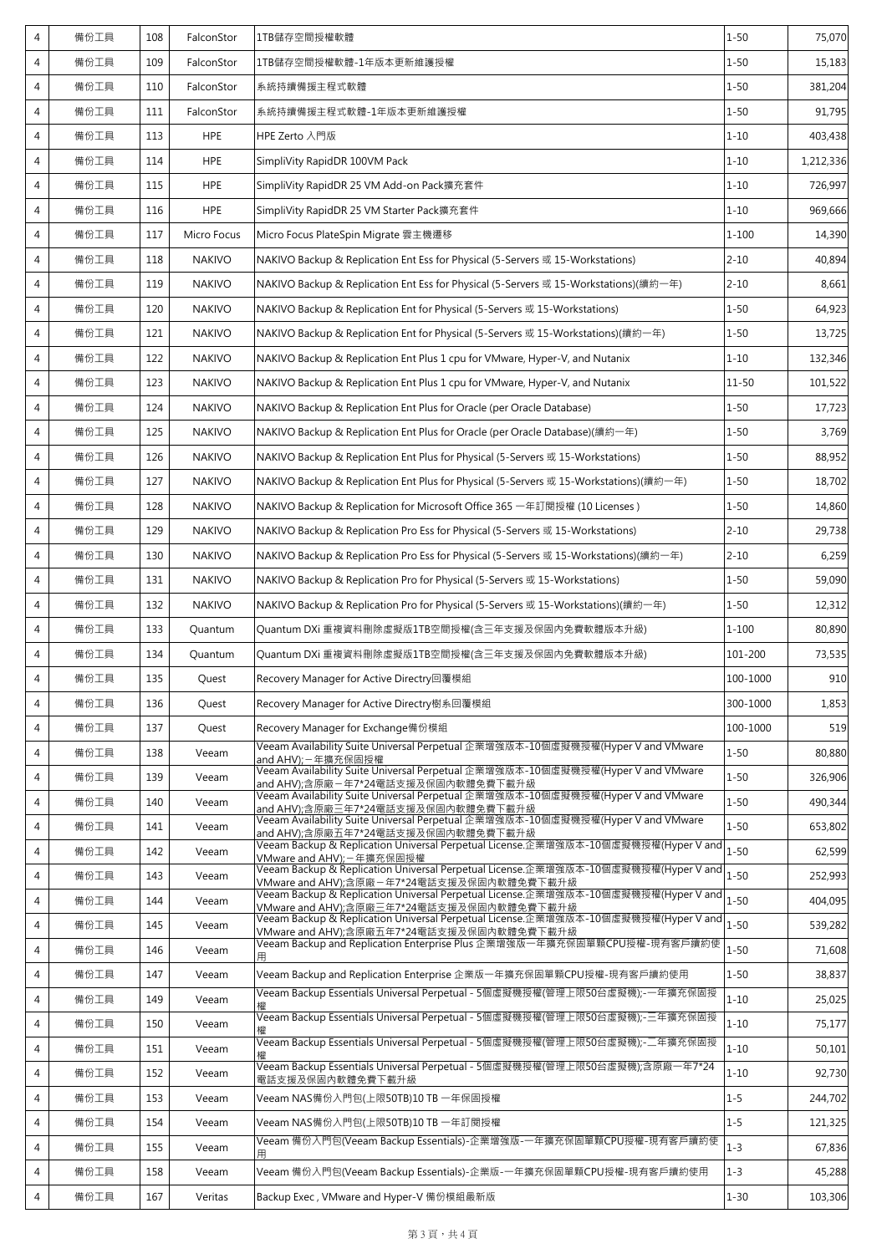| 4              | 備份工具 | 108 | FalconStor    | 1TB儲存空間授權軟體                                                                                                                     | $1 - 50$  | 75,070    |
|----------------|------|-----|---------------|---------------------------------------------------------------------------------------------------------------------------------|-----------|-----------|
| 4              | 備份工具 | 109 | FalconStor    | 1TB儲存空間授權軟體-1年版本更新維護授權                                                                                                          | $1 - 50$  | 15,183    |
| 4              | 備份工具 | 110 | FalconStor    | 系統持續備援主程式軟體                                                                                                                     | $1 - 50$  | 381,204   |
| 4              | 備份工具 | 111 | FalconStor    | 系統持續備援主程式軟體-1年版本更新維護授權                                                                                                          | $1 - 50$  | 91,795    |
| 4              | 備份工具 | 113 | <b>HPE</b>    | HPE Zerto 入門版                                                                                                                   | $1 - 10$  | 403,438   |
| 4              | 備份工具 | 114 | <b>HPE</b>    | SimpliVity RapidDR 100VM Pack                                                                                                   | $1 - 10$  | 1,212,336 |
| $\overline{4}$ | 備份工具 | 115 | <b>HPE</b>    | SimpliVity RapidDR 25 VM Add-on Pack擴充套件                                                                                        | $1 - 10$  | 726,997   |
| 4              | 備份工具 | 116 | <b>HPE</b>    | SimpliVity RapidDR 25 VM Starter Pack擴充套件                                                                                       | $1 - 10$  | 969,666   |
| 4              | 備份工具 | 117 | Micro Focus   | Micro Focus PlateSpin Migrate 雲主機遷移                                                                                             | $1 - 100$ | 14,390    |
| 4              | 備份工具 | 118 | <b>NAKIVO</b> | NAKIVO Backup & Replication Ent Ess for Physical (5-Servers 或 15-Workstations)                                                  | $2 - 10$  | 40,894    |
| 4              | 備份工具 | 119 | <b>NAKIVO</b> | NAKIVO Backup & Replication Ent Ess for Physical (5-Servers 或 15-Workstations)(續約一年)                                            | $2 - 10$  | 8,661     |
| $\overline{4}$ | 備份工具 | 120 | <b>NAKIVO</b> | NAKIVO Backup & Replication Ent for Physical (5-Servers 或 15-Workstations)                                                      | $1 - 50$  | 64,923    |
| 4              | 備份工具 | 121 | <b>NAKIVO</b> | NAKIVO Backup & Replication Ent for Physical (5-Servers 或 15-Workstations)(續約一年)                                                | $1 - 50$  | 13,725    |
| 4              | 備份工具 | 122 | <b>NAKIVO</b> | NAKIVO Backup & Replication Ent Plus 1 cpu for VMware, Hyper-V, and Nutanix                                                     | $1 - 10$  | 132,346   |
| 4              | 備份工具 | 123 | <b>NAKIVO</b> | NAKIVO Backup & Replication Ent Plus 1 cpu for VMware, Hyper-V, and Nutanix                                                     | $11 - 50$ | 101,522   |
| 4              | 備份工具 | 124 | <b>NAKIVO</b> | NAKIVO Backup & Replication Ent Plus for Oracle (per Oracle Database)                                                           | $1 - 50$  | 17,723    |
| 4              | 備份工具 | 125 | <b>NAKIVO</b> | NAKIVO Backup & Replication Ent Plus for Oracle (per Oracle Database)(續約一年)                                                     | $1 - 50$  | 3,769     |
| 4              | 備份工具 | 126 | <b>NAKIVO</b> | NAKIVO Backup & Replication Ent Plus for Physical (5-Servers 或 15-Workstations)                                                 | $1 - 50$  | 88,952    |
| 4              | 備份工具 | 127 | <b>NAKIVO</b> | NAKIVO Backup & Replication Ent Plus for Physical (5-Servers 或 15-Workstations)(續約一年)                                           | $1 - 50$  | 18,702    |
| 4              | 備份工具 | 128 | <b>NAKIVO</b> | NAKIVO Backup & Replication for Microsoft Office 365 一年訂閱授權 (10 Licenses )                                                      | $1 - 50$  | 14,860    |
| 4              | 備份工具 | 129 | <b>NAKIVO</b> | NAKIVO Backup & Replication Pro Ess for Physical (5-Servers 或 15-Workstations)                                                  | $2 - 10$  | 29,738    |
| 4              | 備份工具 | 130 | <b>NAKIVO</b> | NAKIVO Backup & Replication Pro Ess for Physical (5-Servers 或 15-Workstations)(續約一年)                                            | $2 - 10$  | 6,259     |
| $\overline{4}$ | 備份工具 | 131 | <b>NAKIVO</b> | NAKIVO Backup & Replication Pro for Physical (5-Servers 或 15-Workstations)                                                      | $1 - 50$  | 59,090    |
| 4              | 備份工具 | 132 | <b>NAKIVO</b> | NAKIVO Backup & Replication Pro for Physical (5-Servers 或 15-Workstations)(續約一年)                                                | $1 - 50$  | 12,312    |
| 4              | 備份工具 | 133 | Quantum       | Quantum DXi 重複資料刪除虛擬版1TB空間授權(含三年支援及保固內免費軟體版本升級)                                                                                 | $1 - 100$ | 80,890    |
| 4              | 備份工具 | 134 | Quantum       | Quantum DXi 重複資料刪除虛擬版1TB空間授權(含三年支援及保固內免費軟體版本升級)                                                                                 | 101-200   | 73,535    |
| 4              | 備份工具 | 135 | Quest         | Recovery Manager for Active Directry回覆模組                                                                                        | 100-1000  | 910       |
| 4              | 備份工具 | 136 | Quest         | Recovery Manager for Active Directry樹系回覆模組                                                                                      | 300-1000  | 1,853     |
| 4              | 備份工具 | 137 | Quest         | Recovery Manager for Exchange備份模組                                                                                               | 100-1000  | 519       |
| 4              | 備份工具 | 138 | Veeam         | Veeam Availability Suite Universal Perpetual 企業增強版本-10個虛擬機授權(Hyper V and VMware<br>and AHV): 一年擴充保固授權                           | $1 - 50$  | 80,880    |
| 4              | 備份工具 | 139 | Veeam         | Veeam Availability Suite Universal Perpetual 企業增強版本-10個虛擬機授權(Hyper V and VMware<br>and AHV);含原廠-年7*24電話支援及保固內軟體免費下載升級           | $1 - 50$  | 326,906   |
| 4              | 備份工具 | 140 | Veeam         | Veeam Availability Suite Universal Perpetual 企業增強版本-10個虛擬機授權(Hyper V and VMware<br>and AHV);含原廠三年7*24電話支援及保固內軟體免費下載升級           | $1 - 50$  | 490,344   |
| 4              | 備份工具 | 141 | Veeam         | Veeam Availability Suite Universal Perpetual 企業增強版本-10個虛擬機授權(Hyper V and VMware<br>and AHV);含原廠五年7*24電話支援及保固內軟體免費下載升級           | $1 - 50$  | 653,802   |
| 4              | 備份工具 | 142 | Veeam         | Veeam Backup & Replication Universal Perpetual License.企業增強版本-10個虛擬機授權(Hyper V and<br>VMware and AHV);-年擴充保固授權                  | $1 - 50$  | 62,599    |
| 4              | 備份工具 | 143 | Veeam         | Veeam Backup & Replication Universal Perpetual License.企業增強版本-10個虛擬機授權(Hyper V and<br>VMware and AHV);含原廠-年7*24電話支援及保固內軟體免費下載升級 | $1 - 50$  | 252,993   |
| 4              | 備份工具 | 144 | Veeam         | Veeam Backup & Replication Universal Perpetual License.企業增強版本-10個虛擬機授權(Hyper V and<br>VMware and AHV);含原廠三年7*24電話支援及保固內軟體免費下載升級 | $1 - 50$  | 404,095   |
| 4              | 備份工具 | 145 | Veeam         | Veeam Backup & Replication Universal Perpetual License.企業增強版本-10個虛擬機授權(Hyper V and<br>VMware and AHV);含原廠五年7*24電話支援及保固內軟體免費下載升級 | $1 - 50$  | 539,282   |
| 4              | 備份工具 | 146 | Veeam         | Veeam Backup and Replication Enterprise Plus 企業增強版一年擴充保固單顆CPU授權-現有客戶續約使<br>用                                                    | $1 - 50$  | 71,608    |
| 4              | 備份工具 | 147 | Veeam         | Veeam Backup and Replication Enterprise 企業版一年擴充保固單顆CPU授權-現有客戶續約使用                                                               | $1 - 50$  | 38,837    |
| 4              | 備份工具 | 149 | Veeam         | Veeam Backup Essentials Universal Perpetual - 5個虛擬機授權(管理上限50台虛擬機);-一年擴充保固授                                                      | $1 - 10$  | 25,025    |
| 4              | 備份工具 | 150 | Veeam         | Veeam Backup Essentials Universal Perpetual - 5個虛擬機授權(管理上限50台虛擬機);-三年擴充保固授                                                      | $1 - 10$  | 75,177    |
| 4              | 備份工具 | 151 | Veeam         | Veeam Backup Essentials Universal Perpetual - 5個虛擬機授權(管理上限50台虛擬機);-二年擴充保固授                                                      | $1 - 10$  | 50,101    |
| 4              | 備份工具 | 152 | Veeam         | Veeam Backup Essentials Universal Perpetual - 5個虛擬機授權(管理上限50台虛擬機);含原廠一年7*24<br>電話支援及保固內軟體免費下載升級                                 | $1 - 10$  | 92,730    |
| 4              | 備份工具 | 153 | Veeam         | Veeam NAS備份入門包(上限50TB)10 TB 一年保固授權                                                                                              | $1 - 5$   | 244,702   |
| 4              | 備份工具 | 154 | Veeam         | Veeam NAS備份入門包(上限50TB)10 TB 一年訂閱授權                                                                                              | $1 - 5$   | 121,325   |
| 4              | 備份工具 | 155 | Veeam         | Veeam 備份入門包(Veeam Backup Essentials)-企業增強版-—年擴充保固單顆CPU授權-現有客戶續約使<br>用                                                           | $1 - 3$   | 67,836    |
| 4              | 備份工具 | 158 | Veeam         | Veeam 備份入門包(Veeam Backup Essentials)-企業版-一年擴充保固單顆CPU授權-現有客戶續約使用                                                                 | $1 - 3$   | 45,288    |
| 4              | 備份工具 | 167 | Veritas       | Backup Exec, VMware and Hyper-V 備份模組最新版                                                                                         | $1 - 30$  | 103,306   |